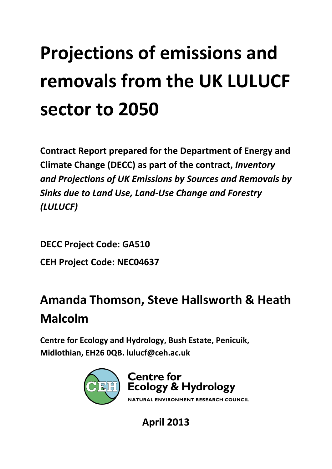# **Projections of emissions and removals from the UK LULUCF sector to 2050**

**Contract Report prepared for the Department of Energy and Climate Change (DECC) as part of the contract,** *Inventory and Projections of UK Emissions by Sources and Removals by Sinks due to Land Use, Land‐Use Change and Forestry (LULUCF)*

**DECC Project Code: GA510 CEH Project Code: NEC04637**

# **Amanda Thomson, Steve Hallsworth & Heath Malcolm**

**Centre for Ecology and Hydrology, Bush Estate, Penicuik, Midlothian, EH26 0QB. lulucf@ceh.ac.uk**



**April 2013**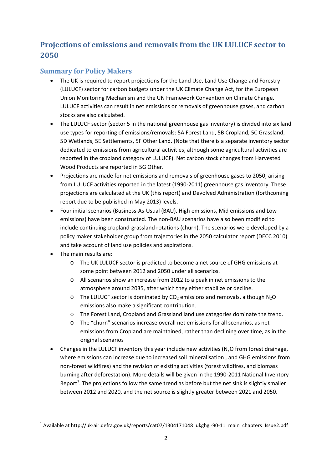### **Projections of emissions and removals from the UK LULUCF sector to 2050**

#### **Summary for Policy Makers**

- The UK is required to report projections for the Land Use, Land Use Change and Forestry (LULUCF) sector for carbon budgets under the UK Climate Change Act, for the European Union Monitoring Mechanism and the UN Framework Convention on Climate Change. LULUCF activities can result in net emissions or removals of greenhouse gases, and carbon stocks are also calculated.
- The LULUCF sector (sector 5 in the national greenhouse gas inventory) is divided into six land use types for reporting of emissions/removals: 5A Forest Land, 5B Cropland, 5C Grassland, 5D Wetlands, 5E Settlements, 5F Other Land. (Note that there is a separate inventory sector dedicated to emissions from agricultural activities, although some agricultural activities are reported in the cropland category of LULUCF). Net carbon stock changes from Harvested Wood Products are reported in 5G Other.
- Projections are made for net emissions and removals of greenhouse gases to 2050, arising from LULUCF activities reported in the latest (1990-2011) greenhouse gas inventory. These projections are calculated at the UK (this report) and Devolved Administration (forthcoming report due to be published in May 2013) levels.
- Four initial scenarios (Business‐As‐Usual (BAU), High emissions, Mid emissions and Low emissions) have been constructed. The non‐BAU scenarios have also been modified to include continuing cropland‐grassland rotations (churn). The scenarios were developed by a policy maker stakeholder group from trajectories in the 2050 calculator report (DECC 2010) and take account of land use policies and aspirations.
- The main results are:

- o The UK LULUCF sector is predicted to become a net source of GHG emissions at some point between 2012 and 2050 under all scenarios.
- o All scenarios show an increase from 2012 to a peak in net emissions to the atmosphere around 2035, after which they either stabilize or decline.
- $\circ$  The LULUCF sector is dominated by CO<sub>2</sub> emissions and removals, although N<sub>2</sub>O emissions also make a significant contribution.
- o The Forest Land, Cropland and Grassland land use categories dominate the trend.
- o The "churn" scenarios increase overall net emissions for all scenarios, as net emissions from Cropland are maintained, rather than declining over time, as in the original scenarios
- Changes in the LULUCF inventory this year include new activities  $(N_2O$  from forest drainage, where emissions can increase due to increased soil mineralisation , and GHG emissions from non‐forest wildfires) and the revision of existing activities (forest wildfires, and biomass burning after deforestation). More details will be given in the 1990‐2011 National Inventory Report<sup>1</sup>. The projections follow the same trend as before but the net sink is slightly smaller between 2012 and 2020, and the net source is slightly greater between 2021 and 2050.

 $1$  Available at http://uk-air.defra.gov.uk/reports/cat07/1304171048\_ukghgi-90-11\_main\_chapters\_Issue2.pdf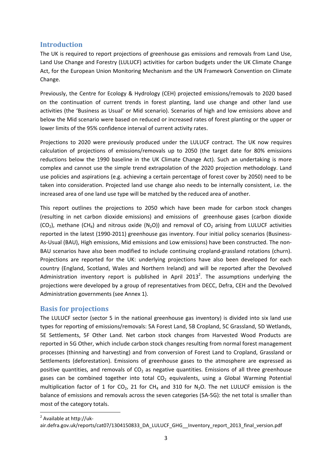#### **Introduction**

The UK is required to report projections of greenhouse gas emissions and removals from Land Use, Land Use Change and Forestry (LULUCF) activities for carbon budgets under the UK Climate Change Act, for the European Union Monitoring Mechanism and the UN Framework Convention on Climate Change.

Previously, the Centre for Ecology & Hydrology (CEH) projected emissions/removals to 2020 based on the continuation of current trends in forest planting, land use change and other land use activities (the 'Business as Usual' or Mid scenario). Scenarios of high and low emissions above and below the Mid scenario were based on reduced or increased rates of forest planting or the upper or lower limits of the 95% confidence interval of current activity rates.

Projections to 2020 were previously produced under the LULUCF contract. The UK now requires calculation of projections of emissions/removals up to 2050 (the target date for 80% emissions reductions below the 1990 baseline in the UK Climate Change Act). Such an undertaking is more complex and cannot use the simple trend extrapolation of the 2020 projection methodology. Land use policies and aspirations (e.g. achieving a certain percentage of forest cover by 2050) need to be taken into consideration. Projected land use change also needs to be internally consistent, i.e. the increased area of one land use type will be matched by the reduced area of another.

This report outlines the projections to 2050 which have been made for carbon stock changes (resulting in net carbon dioxide emissions) and emissions of greenhouse gases (carbon dioxide  $(CO<sub>2</sub>)$ , methane  $(CH<sub>4</sub>)$  and nitrous oxide (N<sub>2</sub>O)) and removal of CO<sub>2</sub> arising from LULUCF activities reported in the latest (1990-2011) greenhouse gas inventory. Four initial policy scenarios (Business-As‐Usual (BAU), High emissions, Mid emissions and Low emissions) have been constructed. The non‐ BAU scenarios have also been modified to include continuing cropland‐grassland rotations (churn). Projections are reported for the UK: underlying projections have also been developed for each country (England, Scotland, Wales and Northern Ireland) and will be reported after the Devolved Administration inventory report is published in April 2013<sup>2</sup>. The assumptions underlying the projections were developed by a group of representatives from DECC, Defra, CEH and the Devolved Administration governments (see Annex 1).

#### **Basis for projections**

The LULUCF sector (sector 5 in the national greenhouse gas inventory) is divided into six land use types for reporting of emissions/removals: 5A Forest Land, 5B Cropland, 5C Grassland, 5D Wetlands, 5E Settlements, 5F Other Land. Net carbon stock changes from Harvested Wood Products are reported in 5G Other, which include carbon stock changes resulting from normal forest management processes (thinning and harvesting) and from conversion of Forest Land to Cropland, Grassland or Settlements (deforestation). Emissions of greenhouse gases to the atmosphere are expressed as positive quantities, and removals of  $CO<sub>2</sub>$  as negative quantities. Emissions of all three greenhouse gases can be combined together into total  $CO<sub>2</sub>$  equivalents, using a Global Warming Potential multiplication factor of 1 for  $CO<sub>2</sub>$ , 21 for CH<sub>4</sub> and 310 for N<sub>2</sub>O. The net LULUCF emission is the balance of emissions and removals across the seven categories (5A‐5G): the net total is smaller than most of the category totals.

 <sup>2</sup> Available at http://uk‐

air.defra.gov.uk/reports/cat07/1304150833\_DA\_LULUCF\_GHG\_\_Inventory\_report\_2013\_final\_version.pdf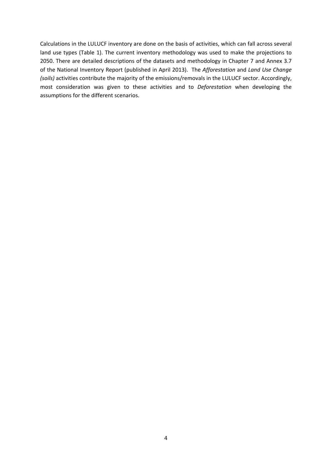Calculations in the LULUCF inventory are done on the basis of activities, which can fall across several land use types (Table 1). The current inventory methodology was used to make the projections to 2050. There are detailed descriptions of the datasets and methodology in Chapter 7 and Annex 3.7 of the National Inventory Report (published in April 2013). The *Afforestation* and *Land Use Change (soils)* activities contribute the majority of the emissions/removals in the LULUCF sector. Accordingly, most consideration was given to these activities and to *Deforestation* when developing the assumptions for the different scenarios.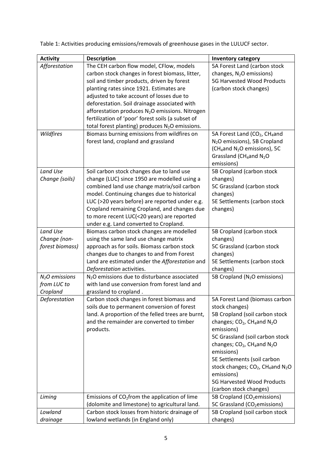| <b>Activity</b> | <b>Description</b>                                                                               | <b>Inventory category</b>                                                     |
|-----------------|--------------------------------------------------------------------------------------------------|-------------------------------------------------------------------------------|
| Afforestation   | The CEH carbon flow model, CFlow, models                                                         | 5A Forest Land (carbon stock                                                  |
|                 | carbon stock changes in forest biomass, litter,                                                  | changes, N <sub>2</sub> O emissions)                                          |
|                 | soil and timber products, driven by forest                                                       | 5G Harvested Wood Products                                                    |
|                 | planting rates since 1921. Estimates are                                                         | (carbon stock changes)                                                        |
|                 | adjusted to take account of losses due to                                                        |                                                                               |
|                 | deforestation. Soil drainage associated with                                                     |                                                                               |
|                 | afforestation produces N <sub>2</sub> O emissions. Nitrogen                                      |                                                                               |
|                 | fertilization of 'poor' forest soils (a subset of                                                |                                                                               |
|                 | total forest planting) produces N <sub>2</sub> O emissions.                                      |                                                                               |
| Wildfires       | Biomass burning emissions from wildfires on                                                      | 5A Forest Land (CO <sub>2</sub> , CH <sub>4</sub> and                         |
|                 | forest land, cropland and grassland                                                              | N <sub>2</sub> O emissions), 5B Cropland                                      |
|                 |                                                                                                  | (CH <sub>4</sub> and N <sub>2</sub> O emissions), 5C                          |
|                 |                                                                                                  | Grassland (CH <sub>4</sub> and N <sub>2</sub> O<br>emissions)                 |
| Land Use        | Soil carbon stock changes due to land use                                                        | 5B Cropland (carbon stock                                                     |
| Change (soils)  | change (LUC) since 1950 are modelled using a                                                     | changes)                                                                      |
|                 | combined land use change matrix/soil carbon                                                      | 5C Grassland (carbon stock                                                    |
|                 | model. Continuing changes due to historical                                                      | changes)                                                                      |
|                 | LUC (>20 years before) are reported under e.g.                                                   | 5E Settlements (carbon stock                                                  |
|                 | Cropland remaining Cropland, and changes due                                                     | changes)                                                                      |
|                 | to more recent LUC(<20 years) are reported                                                       |                                                                               |
|                 | under e.g. Land converted to Cropland.                                                           |                                                                               |
| Land Use        | Biomass carbon stock changes are modelled                                                        | 5B Cropland (carbon stock                                                     |
| Change (non-    | using the same land use change matrix                                                            | changes)                                                                      |
| forest biomass) | approach as for soils. Biomass carbon stock                                                      | 5C Grassland (carbon stock                                                    |
|                 | changes due to changes to and from Forest                                                        | changes)                                                                      |
|                 | Land are estimated under the Afforestation and                                                   | 5E Settlements (carbon stock                                                  |
|                 | Deforestation activities.                                                                        | changes)                                                                      |
| $N2O$ emissions | N <sub>2</sub> O emissions due to disturbance associated                                         | 5B Cropland (N <sub>2</sub> O emissions)                                      |
| from LUC to     | with land use conversion from forest land and                                                    |                                                                               |
| Cropland        | grassland to cropland.                                                                           |                                                                               |
| Deforestation   | Carbon stock changes in forest biomass and                                                       | 5A Forest Land (biomass carbon                                                |
|                 | soils due to permanent conversion of forest<br>land. A proportion of the felled trees are burnt, | stock changes)                                                                |
|                 | and the remainder are converted to timber                                                        | 5B Cropland (soil carbon stock                                                |
|                 | products.                                                                                        | changes; CO <sub>2</sub> , CH <sub>4</sub> and N <sub>2</sub> O<br>emissions) |
|                 |                                                                                                  | 5C Grassland (soil carbon stock                                               |
|                 |                                                                                                  | changes; $CO2$ , CH <sub>4</sub> and N <sub>2</sub> O                         |
|                 |                                                                                                  | emissions)                                                                    |
|                 |                                                                                                  | 5E Settlements (soil carbon                                                   |
|                 |                                                                                                  | stock changes; CO <sub>2</sub> , CH <sub>4</sub> and N <sub>2</sub> O         |
|                 |                                                                                                  | emissions)                                                                    |
|                 |                                                                                                  | 5G Harvested Wood Products                                                    |
|                 |                                                                                                  | (carbon stock changes)                                                        |
| Liming          | Emissions of $CO2$ from the application of lime                                                  | 5B Cropland (CO <sub>2</sub> emissions)                                       |
|                 | (dolomite and limestone) to agricultural land.                                                   | 5C Grassland (CO <sub>2</sub> emissions)                                      |
| Lowland         | Carbon stock losses from historic drainage of                                                    | 5B Cropland (soil carbon stock                                                |
| drainage        | lowland wetlands (in England only)                                                               | changes)                                                                      |

Table 1: Activities producing emissions/removals of greenhouse gases in the LULUCF sector.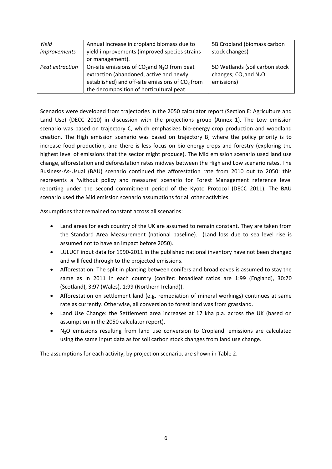| Yield<br>improvements | Annual increase in cropland biomass due to<br>yield improvements (improved species strains                                                                                                            | 5B Cropland (biomass carbon<br>stock changes)                                       |
|-----------------------|-------------------------------------------------------------------------------------------------------------------------------------------------------------------------------------------------------|-------------------------------------------------------------------------------------|
|                       | or management).                                                                                                                                                                                       |                                                                                     |
| Peat extraction       | On-site emissions of $CO2$ and N <sub>2</sub> O from peat<br>extraction (abandoned, active and newly<br>established) and off-site emissions of $CO2$ from<br>the decomposition of horticultural peat. | 5D Wetlands (soil carbon stock<br>changes; $CO2$ and N <sub>2</sub> O<br>emissions) |

Scenarios were developed from trajectories in the 2050 calculator report (Section E: Agriculture and Land Use) (DECC 2010) in discussion with the projections group (Annex 1). The Low emission scenario was based on trajectory C, which emphasizes bio-energy crop production and woodland creation. The High emission scenario was based on trajectory B, where the policy priority is to increase food production, and there is less focus on bio‐energy crops and forestry (exploring the highest level of emissions that the sector might produce). The Mid emission scenario used land use change, afforestation and deforestation rates midway between the High and Low scenario rates. The Business‐As‐Usual (BAU) scenario continued the afforestation rate from 2010 out to 2050: this represents a 'without policy and measures' scenario for Forest Management reference level reporting under the second commitment period of the Kyoto Protocol (DECC 2011). The BAU scenario used the Mid emission scenario assumptions for all other activities.

Assumptions that remained constant across all scenarios:

- Land areas for each country of the UK are assumed to remain constant. They are taken from the Standard Area Measurement (national baseline). (Land loss due to sea level rise is assumed not to have an impact before 2050).
- LULUCF input data for 1990‐2011 in the published national inventory have not been changed and will feed through to the projected emissions.
- Afforestation: The split in planting between conifers and broadleaves is assumed to stay the same as in 2011 in each country (conifer: broadleaf ratios are 1:99 (England), 30:70 (Scotland), 3:97 (Wales), 1:99 (Northern Ireland)).
- Afforestation on settlement land (e.g. remediation of mineral workings) continues at same rate as currently. Otherwise, all conversion to forest land was from grassland.
- Land Use Change: the Settlement area increases at 17 kha p.a. across the UK (based on assumption in the 2050 calculator report).
- N<sub>2</sub>O emissions resulting from land use conversion to Cropland: emissions are calculated using the same input data as for soil carbon stock changes from land use change.

The assumptions for each activity, by projection scenario, are shown in Table 2.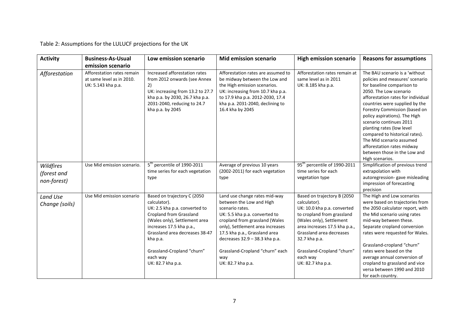Table 2: Assumptions for the LULUCF projections for the UK

| <b>Activity</b>                         | <b>Business-As-Usual</b>                                                      | Low emission scenario                                                                                                                                                                                                                                                                    | <b>Mid emission scenario</b>                                                                                                                                                                                                                                                                                          | <b>High emission scenario</b>                                                                                                                                                                                                                                                     | <b>Reasons for assumptions</b>                                                                                                                                                                                                                                                                                                                                                                                                                                             |
|-----------------------------------------|-------------------------------------------------------------------------------|------------------------------------------------------------------------------------------------------------------------------------------------------------------------------------------------------------------------------------------------------------------------------------------|-----------------------------------------------------------------------------------------------------------------------------------------------------------------------------------------------------------------------------------------------------------------------------------------------------------------------|-----------------------------------------------------------------------------------------------------------------------------------------------------------------------------------------------------------------------------------------------------------------------------------|----------------------------------------------------------------------------------------------------------------------------------------------------------------------------------------------------------------------------------------------------------------------------------------------------------------------------------------------------------------------------------------------------------------------------------------------------------------------------|
|                                         | emission scenario                                                             |                                                                                                                                                                                                                                                                                          |                                                                                                                                                                                                                                                                                                                       |                                                                                                                                                                                                                                                                                   |                                                                                                                                                                                                                                                                                                                                                                                                                                                                            |
| Afforestation                           | Afforestation rates remain<br>at same level as in 2010.<br>UK: 5.143 kha p.a. | Increased afforestation rates<br>from 2012 onwards (see Annex<br>2)<br>UK: increasing from 13.2 to 27.7<br>kha p.a. by 2030, 26.7 kha p.a.<br>2031-2040, reducing to 24.7<br>kha p.a. by 2045                                                                                            | Afforestation rates are assumed to<br>be midway between the Low and<br>the High emission scenarios.<br>UK: increasing from 10.7 kha p.a.<br>to 17.9 kha p.a. 2012-2030, 17.4<br>kha p.a. 2031-2040, declining to<br>16.4 kha by 2045                                                                                  | Afforestation rates remain at<br>same level as in 2011<br>UK: 8.185 kha p.a.                                                                                                                                                                                                      | The BAU scenario is a 'without<br>policies and measures' scenario<br>for baseline comparison to<br>2050. The Low scenario<br>afforestation rates for individual<br>countries were supplied by the<br>Forestry Commission (based on<br>policy aspirations). The High<br>scenario continues 2011<br>planting rates (low level<br>compared to historical rates).<br>The Mid scenario assumed<br>afforestation rates midway<br>between those in the Low and<br>High scenarios. |
| Wildfires<br>(forest and<br>non-forest) | Use Mid emission scenario.                                                    | 5 <sup>th</sup> percentile of 1990-2011<br>time series for each vegetation<br>type                                                                                                                                                                                                       | Average of previous 10 years<br>(2002-2011) for each vegetation<br>type                                                                                                                                                                                                                                               | 95 <sup>th</sup> percentile of 1990-2011<br>time series for each<br>vegetation type                                                                                                                                                                                               | Simplification of previous trend<br>extrapolation with<br>autoregression-gave misleading<br>impression of forecasting<br>precision                                                                                                                                                                                                                                                                                                                                         |
| Land Use<br>Change (soils)              | Use Mid emission scenario                                                     | Based on trajectory C (2050<br>calculator).<br>UK: 2.5 kha p.a. converted to<br><b>Cropland from Grassland</b><br>(Wales only), Settlement area<br>increases 17.5 kha p.a.,<br>Grassland area decreases 38-47<br>kha p.a.<br>Grassland-Cropland "churn"<br>each way<br>UK: 82.7 kha p.a. | Land use change rates mid-way<br>between the Low and High<br>scenario rates.<br>UK: 5.5 kha p.a. converted to<br>cropland from grassland (Wales<br>only), Settlement area increases<br>17.5 kha p.a., Grassland area<br>decreases 32.9 - 38.3 kha p.a.<br>Grassland-Cropland "churn" each<br>way<br>UK: 82.7 kha p.a. | Based on trajectory B (2050<br>calculator).<br>UK: 10.0 kha p.a. converted<br>to cropland from grassland<br>(Wales only), Settlement<br>area increases 17.5 kha p.a.,<br>Grassland area decreases<br>32.7 kha p.a.<br>Grassland-Cropland "churn"<br>each way<br>UK: 82.7 kha p.a. | The High and Low scenarios<br>were based on trajectories from<br>the 2050 calculator report, with<br>the Mid scenario using rates<br>mid-way between these.<br>Separate cropland conversion<br>rates were requested for Wales.<br>Grassland-cropland "churn"<br>rates were based on the<br>average annual conversion of<br>cropland to grassland and vice<br>versa between 1990 and 2010<br>for each country.                                                              |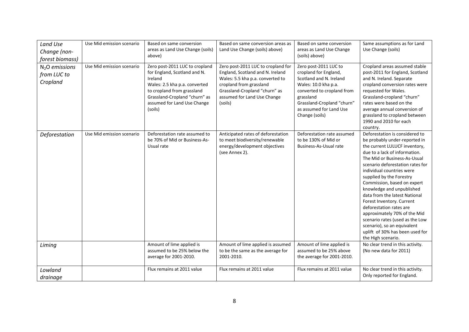| Land Use<br>Change (non-<br>forest biomass) | Use Mid emission scenario | Based on same conversion<br>areas as Land Use Change (soils)<br>above)                                                                                                                                              | Based on same conversion areas as<br>Land Use Change (soils) above)                                                                                                                                              | Based on same conversion<br>areas as Land Use Change<br>(soils) above)                                                                                                                                                  | Same assumptions as for Land<br>Use Change (soils)                                                                                                                                                                                                                                                                                                                                                                                                                                                                                                                             |
|---------------------------------------------|---------------------------|---------------------------------------------------------------------------------------------------------------------------------------------------------------------------------------------------------------------|------------------------------------------------------------------------------------------------------------------------------------------------------------------------------------------------------------------|-------------------------------------------------------------------------------------------------------------------------------------------------------------------------------------------------------------------------|--------------------------------------------------------------------------------------------------------------------------------------------------------------------------------------------------------------------------------------------------------------------------------------------------------------------------------------------------------------------------------------------------------------------------------------------------------------------------------------------------------------------------------------------------------------------------------|
| $N2O$ emissions<br>from LUC to<br>Cropland  | Use Mid emission scenario | Zero post-2011 LUC to cropland<br>for England, Scotland and N.<br>Ireland<br>Wales: 2.5 kha p.a. converted<br>to cropland from grassland<br>Grassland-Cropland "churn" as<br>assumed for Land Use Change<br>(soils) | Zero post-2011 LUC to cropland for<br>England, Scotland and N. Ireland<br>Wales: 5.5 kha p.a. converted to<br>cropland from grassland<br>Grassland-Cropland "churn" as<br>assumed for Land Use Change<br>(soils) | Zero post-2011 LUC to<br>cropland for England,<br>Scotland and N. Ireland<br>Wales: 10.0 kha p.a.<br>converted to cropland from<br>grassland<br>Grassland-Cropland "churn"<br>as assumed for Land Use<br>Change (soils) | Cropland areas assumed stable<br>post-2011 for England, Scotland<br>and N. Ireland. Separate<br>cropland conversion rates were<br>requested for Wales.<br>Grassland-cropland "churn"<br>rates were based on the<br>average annual conversion of<br>grassland to cropland between<br>1990 and 2010 for each<br>country.                                                                                                                                                                                                                                                         |
| Deforestation                               | Use Mid emission scenario | Deforestation rate assumed to<br>be 70% of Mid or Business-As-<br>Usual rate                                                                                                                                        | Anticipated rates of deforestation<br>to meet biodiversity/renewable<br>energy/development objectives<br>(see Annex 2).                                                                                          | Deforestation rate assumed<br>to be 130% of Mid or<br><b>Business-As-Usual rate</b>                                                                                                                                     | Deforestation is considered to<br>be probably under-reported in<br>the current LULUCF inventory,<br>due to a lack of information.<br>The Mid or Business-As-Usual<br>scenario deforestation rates for<br>individual countries were<br>supplied by the Forestry<br>Commission, based on expert<br>knowledge and unpublished<br>data from the latest National<br>Forest Inventory. Current<br>deforestation rates are<br>approximately 70% of the Mid<br>scenario rates (used as the Low<br>scenario), so an equivalent<br>uplift of 30% has been used for<br>the High scenario. |
| Liming                                      |                           | Amount of lime applied is<br>assumed to be 25% below the<br>average for 2001-2010.                                                                                                                                  | Amount of lime applied is assumed<br>to be the same as the average for<br>2001-2010.                                                                                                                             | Amount of lime applied is<br>assumed to be 25% above<br>the average for 2001-2010.                                                                                                                                      | No clear trend in this activity.<br>(No new data for 2011)                                                                                                                                                                                                                                                                                                                                                                                                                                                                                                                     |
| Lowland<br>drainage                         |                           | Flux remains at 2011 value                                                                                                                                                                                          | Flux remains at 2011 value                                                                                                                                                                                       | Flux remains at 2011 value                                                                                                                                                                                              | No clear trend in this activity.<br>Only reported for England.                                                                                                                                                                                                                                                                                                                                                                                                                                                                                                                 |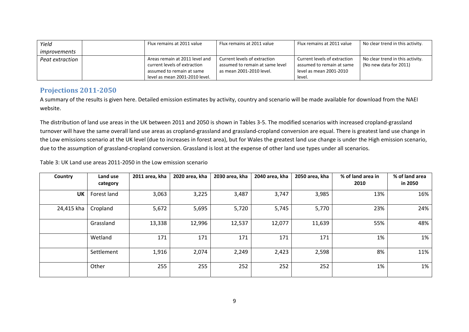| Yield           | Flux remains at 2011 value     | Flux remains at 2011 value      | Flux remains at 2011 value   | No clear trend in this activity. |
|-----------------|--------------------------------|---------------------------------|------------------------------|----------------------------------|
| improvements    |                                |                                 |                              |                                  |
| Peat extraction | Areas remain at 2011 level and | Current levels of extraction    | Current levels of extraction | No clear trend in this activity. |
|                 | current levels of extraction   | assumed to remain at same level | assumed to remain at same    | (No new data for 2011)           |
|                 | assumed to remain at same      | as mean 2001-2010 level.        | level as mean 2001-2010      |                                  |
|                 | level as mean 2001-2010 level. |                                 | level.                       |                                  |

#### **Projections 2011‐2050**

A summary of the results is given here. Detailed emission estimates by activity, country and scenario will be made available for download from the NAEI website.

The distribution of land use areas in the UK between 2011 and 2050 is shown in Tables 3‐5. The modified scenarios with increased cropland‐grassland turnover will have the same overall land use areas as cropland‐grassland and grassland‐cropland conversion are equal. There is greatest land use change in the Low emissions scenario at the UK level (due to increases in forest area), but for Wales the greatest land use change is under the High emission scenario, due to the assumption of grassland‐cropland conversion. Grassland is lost at the expense of other land use types under all scenarios.

Table 3: UK Land use areas 2011‐2050 in the Low emission scenario

| Country    | Land use<br>category | 2011 area, kha | 2020 area, kha | 2030 area, kha | 2040 area, kha | 2050 area, kha | % of land area in<br>2010 | % of land area<br>in 2050 |
|------------|----------------------|----------------|----------------|----------------|----------------|----------------|---------------------------|---------------------------|
| UK         | Forest land          | 3,063          | 3,225          | 3,487          | 3,747          | 3,985          | 13%                       | 16%                       |
| 24,415 kha | Cropland             | 5,672          | 5,695          | 5,720          | 5,745          | 5,770          | 23%                       | 24%                       |
|            | Grassland            | 13,338         | 12,996         | 12,537         | 12,077         | 11,639         | 55%                       | 48%                       |
|            | Wetland              | 171            | 171            | 171            | 171            | 171            | 1%                        | 1%                        |
|            | Settlement           | 1,916          | 2,074          | 2,249          | 2,423          | 2,598          | 8%                        | 11%                       |
|            | Other                | 255            | 255            | 252            | 252            | 252            | 1%                        | 1%                        |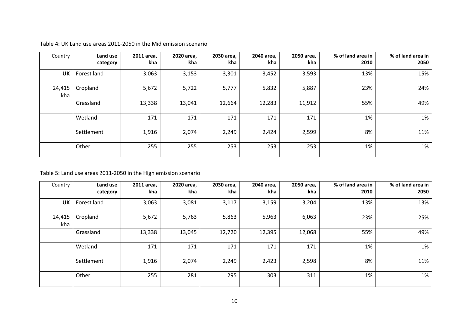| Country       | Land use<br>category | 2011 area,<br>kha | 2020 area,<br>kha | 2030 area,<br>kha | 2040 area,<br>kha | 2050 area,<br>kha | % of land area in<br>2010 | % of land area in<br>2050 |
|---------------|----------------------|-------------------|-------------------|-------------------|-------------------|-------------------|---------------------------|---------------------------|
| <b>UK</b>     | Forest land          | 3,063             | 3,153             | 3,301             | 3,452             | 3,593             | 13%                       | 15%                       |
| 24,415<br>kha | Cropland             | 5,672             | 5,722             | 5,777             | 5,832             | 5,887             | 23%                       | 24%                       |
|               | Grassland            | 13,338            | 13,041            | 12,664            | 12,283            | 11,912            | 55%                       | 49%                       |
|               | Wetland              | 171               | 171               | 171               | 171               | 171               | 1%                        | 1%                        |
|               | Settlement           | 1,916             | 2,074             | 2,249             | 2,424             | 2,599             | 8%                        | 11%                       |
|               | Other                | 255               | 255               | 253               | 253               | 253               | 1%                        | 1%                        |

Table 4: UK Land use areas 2011‐2050 in the Mid emission scenario

#### Table 5: Land use areas 2011‐2050 in the High emission scenario

| Country       | Land use<br>category | 2011 area,<br>kha | 2020 area,<br>kha | 2030 area,<br>kha | 2040 area,<br>kha | 2050 area,<br>kha | % of land area in<br>2010 | % of land area in<br>2050 |
|---------------|----------------------|-------------------|-------------------|-------------------|-------------------|-------------------|---------------------------|---------------------------|
| <b>UK</b>     | Forest land          | 3,063             | 3,081             | 3,117             | 3,159             | 3,204             | 13%                       | 13%                       |
| 24,415<br>kha | Cropland             | 5,672             | 5,763             | 5,863             | 5,963             | 6,063             | 23%                       | 25%                       |
|               | Grassland            | 13,338            | 13,045            | 12,720            | 12,395            | 12,068            | 55%                       | 49%                       |
|               | Wetland              | 171               | 171               | 171               | 171               | 171               | 1%                        | 1%                        |
|               | Settlement           | 1,916             | 2,074             | 2,249             | 2,423             | 2,598             | 8%                        | 11%                       |
|               | Other                | 255               | 281               | 295               | 303               | 311               | 1%                        | 1%                        |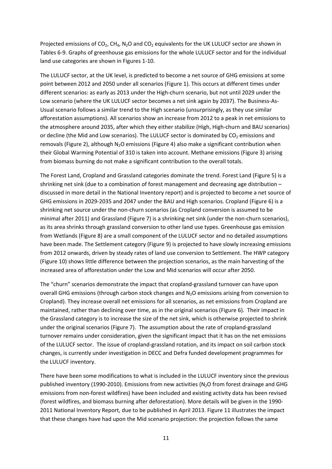Projected emissions of  $CO_2$ ,  $CH_4$ , N<sub>2</sub>O and  $CO_2$  equivalents for the UK LULUCF sector are shown in Tables 6‐9. Graphs of greenhouse gas emissions for the whole LULUCF sector and for the individual land use categories are shown in Figures 1‐10.

The LULUCF sector, at the UK level, is predicted to become a net source of GHG emissions at some point between 2012 and 2050 under all scenarios (Figure 1). This occurs at different times under different scenarios: as early as 2013 under the High‐churn scenario, but not until 2029 under the Low scenario (where the UK LULUCF sector becomes a net sink again by 2037). The Business‐As‐ Usual scenario follows a similar trend to the High scenario (unsurprisingly, as they use similar afforestation assumptions). All scenarios show an increase from 2012 to a peak in net emissions to the atmosphere around 2035, after which they either stabilize (High, High-churn and BAU scenarios) or decline (the Mid and Low scenarios). The LULUCF sector is dominated by  $CO<sub>2</sub>$  emissions and removals (Figure 2), although N<sub>2</sub>O emissions (Figure 4) also make a significant contribution when their Global Warming Potential of 310 is taken into account. Methane emissions (Figure 3) arising from biomass burning do not make a significant contribution to the overall totals.

The Forest Land, Cropland and Grassland categories dominate the trend. Forest Land (Figure 5) is a shrinking net sink (due to a combination of forest management and decreasing age distribution – discussed in more detail in the National Inventory report) and is projected to become a net source of GHG emissions in 2029-2035 and 2047 under the BAU and High scenarios. Cropland (Figure 6) is a shrinking net source under the non‐churn scenarios (as Cropland conversion is assumed to be minimal after 2011) and Grassland (Figure 7) is a shrinking net sink (under the non‐churn scenarios), as its area shrinks through grassland conversion to other land use types. Greenhouse gas emission from Wetlands (Figure 8) are a small component of the LULUCF sector and no detailed assumptions have been made. The Settlement category (Figure 9) is projected to have slowly increasing emissions from 2012 onwards, driven by steady rates of land use conversion to Settlement. The HWP category (Figure 10) shows little difference between the projection scenarios, as the main harvesting of the increased area of afforestation under the Low and Mid scenarios will occur after 2050.

The "churn" scenarios demonstrate the impact that cropland‐grassland turnover can have upon overall GHG emissions (through carbon stock changes and N<sub>2</sub>O emissions arising from conversion to Cropland). They increase overall net emissions for all scenarios, as net emissions from Cropland are maintained, rather than declining over time, as in the original scenarios (Figure 6). Their impact in the Grassland category is to increase the size of the net sink, which is otherwise projected to shrink under the original scenarios (Figure 7). The assumption about the rate of cropland‐grassland turnover remains under consideration, given the significant impact that it has on the net emissions of the LULUCF sector. The issue of cropland‐grassland rotation, and its impact on soil carbon stock changes, is currently under investigation in DECC and Defra funded development programmes for the LULUCF inventory.

There have been some modifications to what is included in the LULUCF inventory since the previous published inventory (1990-2010). Emissions from new activities ( $N<sub>2</sub>O$  from forest drainage and GHG emissions from non‐forest wildfires) have been included and existing activity data has been revised (forest wildfires, and biomass burning after deforestation). More details will be given in the 1990‐ 2011 National Inventory Report, due to be published in April 2013. Figure 11 illustrates the impact that these changes have had upon the Mid scenario projection: the projection follows the same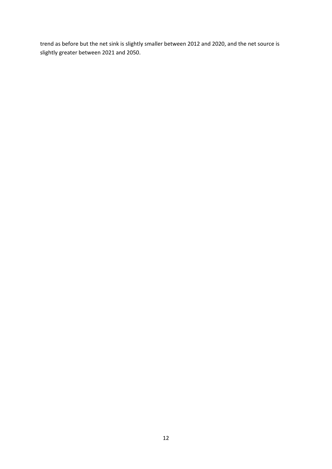trend as before but the net sink is slightly smaller between 2012 and 2020, and the net source is slightly greater between 2021 and 2050.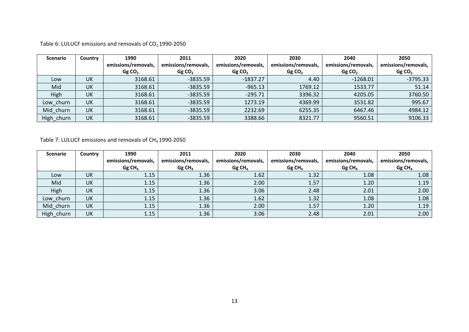Table 6: LULUCF emissions and removals of  $CO<sub>2</sub>$  1990-2050

| <b>Scenario</b> | Country   | 1990                | 2011                | 2020                | 2030                | 2040                | 2050                |
|-----------------|-----------|---------------------|---------------------|---------------------|---------------------|---------------------|---------------------|
|                 |           | emissions/removals, | emissions/removals, | emissions/removals, | emissions/removals, | emissions/removals, | emissions/removals, |
|                 |           | GgCO <sub>2</sub>   | GgCO <sub>2</sub>   | GgCO <sub>2</sub>   | GgCO <sub>2</sub>   | GgCO <sub>2</sub>   | GgCO <sub>2</sub>   |
| Low             | <b>UK</b> | 3168.61             | $-3835.59$          | $-1837.27$          | 4.40                | $-1268.01$          | $-3795.33$          |
| Mid             | UK        | 3168.61             | $-3835.59$          | $-965.13$           | 1769.12             | 1533.77             | 51.14               |
| High            | UK        | 3168.61             | $-3835.59$          | $-295.71$           | 3396.32             | 4205.05             | 3760.50             |
| Low churn       | <b>UK</b> | 3168.61             | $-3835.59$          | 1273.19             | 4369.99             | 3531.82             | 995.67              |
| Mid churn       | <b>UK</b> | 3168.61             | $-3835.59$          | 2232.69             | 6255.35             | 6467.46             | 4984.12             |
| High_churn      | UK        | 3168.61             | $-3835.59$          | 3388.66             | 8321.77             | 9560.51             | 9106.33             |

Table 7: LULUCF emissions and removals of  $CH_4$ 1990-2050

| <b>Scenario</b> | Country   | 1990                 | 2011                 | 2020                 | 2030                 | 2040                 | 2050                 |
|-----------------|-----------|----------------------|----------------------|----------------------|----------------------|----------------------|----------------------|
|                 |           | emissions/removals,  | emissions/removals,  | emissions/removals,  | emissions/removals,  | emissions/removals,  | emissions/removals,  |
|                 |           | $Gg$ CH <sub>4</sub> | $Gg$ CH <sub>4</sub> | $Gg$ CH <sub>4</sub> | $Gg$ CH <sub>4</sub> | $Gg$ CH <sub>4</sub> | $Gg$ CH <sub>4</sub> |
| Low             | <b>UK</b> | 1.15                 | 1.36                 | 1.62                 | 1.32                 | 1.08                 | 1.08                 |
| Mid             | UK        | 1.15                 | 1.36                 | 2.00                 | 1.57                 | 1.20                 | 1.19                 |
| High            | UK        | 1.15                 | 1.36                 | 3.06                 | 2.48                 | 2.01                 | 2.00                 |
| Low_churn       | UK        | 1.15                 | 1.36                 | 1.62                 | 1.32                 | 1.08                 | 1.08                 |
| Mid_churn       | UK        | 1.15                 | 1.36                 | 2.00                 | 1.57                 | 1.20                 | 1.19                 |
| High_churn      | UK        | 1.15                 | 1.36                 | 3.06                 | 2.48                 | 2.01                 | 2.00                 |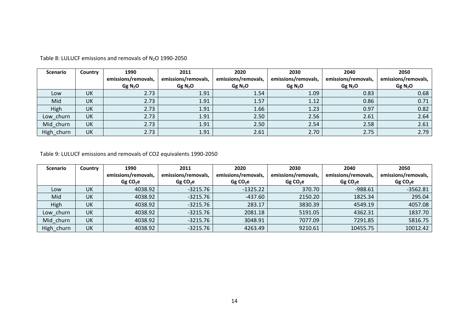| <b>Scenario</b> | Country   | 1990                | 2011                | 2020                | 2030                | 2040                | 2050                |
|-----------------|-----------|---------------------|---------------------|---------------------|---------------------|---------------------|---------------------|
|                 |           | emissions/removals, | emissions/removals, | emissions/removals, | emissions/removals, | emissions/removals, | emissions/removals, |
|                 |           | Gg N <sub>2</sub> O | Gg $N_2O$           | Gg N <sub>2</sub> O | Gg N <sub>2</sub> O | Gg N <sub>2</sub> O | Gg N <sub>2</sub> O |
| Low             | UK        | 2.73                | 1.91                | 1.54                | 1.09                | 0.83                | 0.68                |
| Mid             | <b>UK</b> | 2.73                | 1.91                | 1.57                | 1.12                | 0.86                | 0.71                |
| High            | UK        | 2.73                | 1.91                | 1.66                | 1.23                | 0.97                | 0.82                |
| Low churn       | <b>UK</b> | 2.73                | 1.91                | 2.50                | 2.56                | 2.61                | 2.64                |
| Mid_churn       | UK        | 2.73                | 1.91                | 2.50                | 2.54                | 2.58                | 2.61                |
| High_churn      | UK        | 2.73                | 1.91                | 2.61                | 2.70                | 2.75                | 2.79                |

Table 8: LULUCF emissions and removals of N<sub>2</sub>O 1990-2050

Table 9: LULUCF emissions and removals of CO2 equivalents 1990‐2050

| <b>Scenario</b> | Country   | 1990                | 2011                | 2020                | 2030                | 2040                | 2050                |
|-----------------|-----------|---------------------|---------------------|---------------------|---------------------|---------------------|---------------------|
|                 |           | emissions/removals, | emissions/removals, | emissions/removals, | emissions/removals, | emissions/removals, | emissions/removals, |
|                 |           | GgCO <sub>2</sub> e | GgCO <sub>2</sub> e | GgCO <sub>2</sub> e | GgCO <sub>2</sub> e | GgCO <sub>2</sub> e | GgCO <sub>2</sub> e |
| Low             | <b>UK</b> | 4038.92             | $-3215.76$          | $-1325.22$          | 370.70              | $-988.61$           | $-3562.81$          |
| Mid             | UK        | 4038.92             | $-3215.76$          | $-437.60$           | 2150.20             | 1825.34             | 295.04              |
| High            | UK        | 4038.92             | $-3215.76$          | 283.17              | 3830.39             | 4549.19             | 4057.08             |
| Low churn       | UK        | 4038.92             | $-3215.76$          | 2081.18             | 5191.05             | 4362.31             | 1837.70             |
| Mid churn       | UK        | 4038.92             | $-3215.76$          | 3048.91             | 7077.09             | 7291.85             | 5816.75             |
| High churn      | <b>UK</b> | 4038.92             | $-3215.76$          | 4263.49             | 9210.61             | 10455.75            | 10012.42            |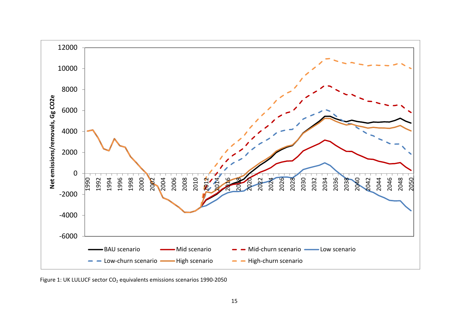

Figure 1: UK LULUCF sector CO<sub>2</sub> equivalents emissions scenarios 1990-2050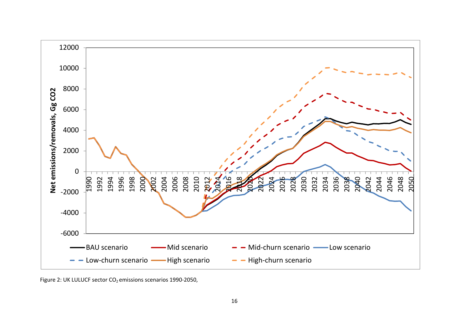

Figure 2: UK LULUCF sector CO $_2$  emissions scenarios 1990-2050,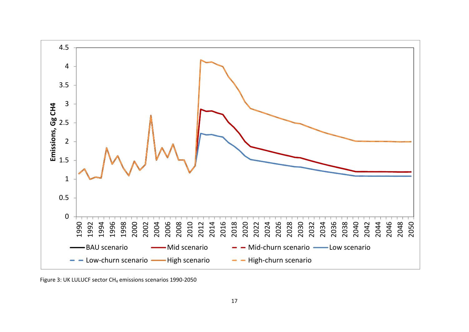

Figure 3: UK LULUCF sector CH $_4$  emissions scenarios 1990-2050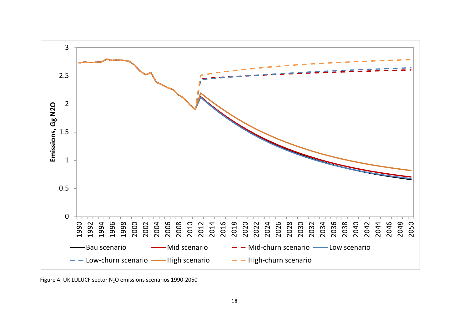

Figure 4: UK LULUCF sector  $N_2O$  emissions scenarios 1990-2050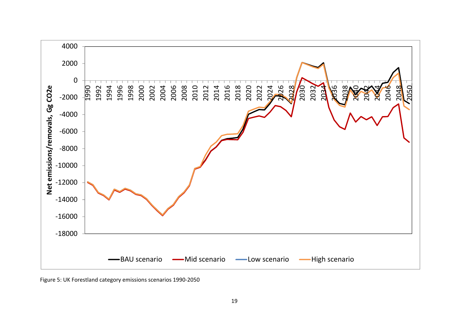

Figure 5: UK Forestland category emissions scenarios 1990‐2050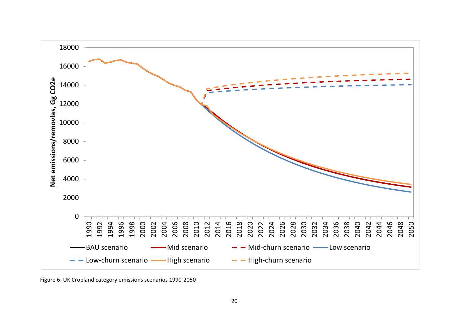

Figure 6: UK Cropland category emissions scenarios 1990‐2050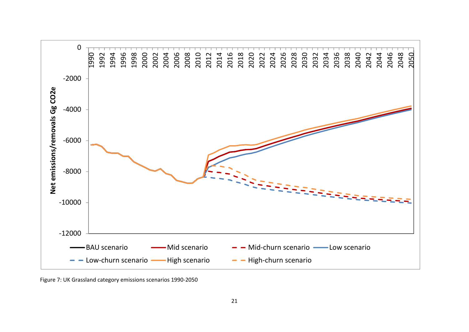

Figure 7: UK Grassland category emissions scenarios 1990‐2050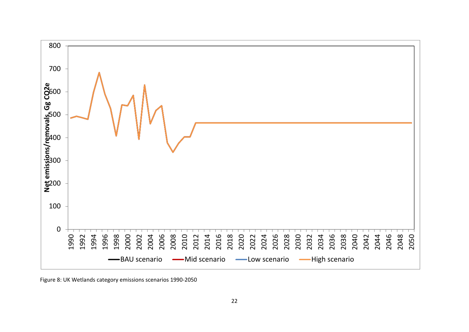

Figure 8: UK Wetlands category emissions scenarios 1990‐2050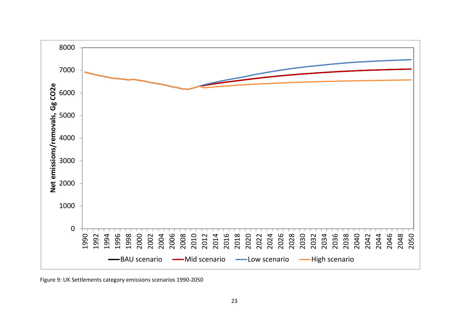

Figure 9: UK Settlements category emissions scenarios 1990‐2050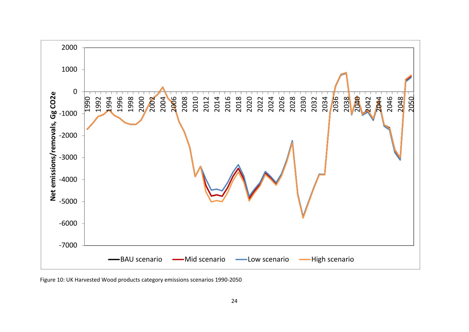

Figure 10: UK Harvested Wood products category emissions scenarios 1990‐2050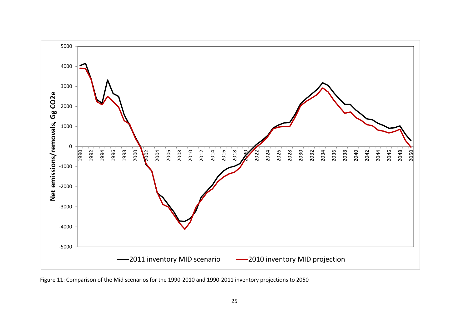

Figure 11: Comparison of the Mid scenarios for the 1990‐2010 and 1990‐2011 inventory projections to 2050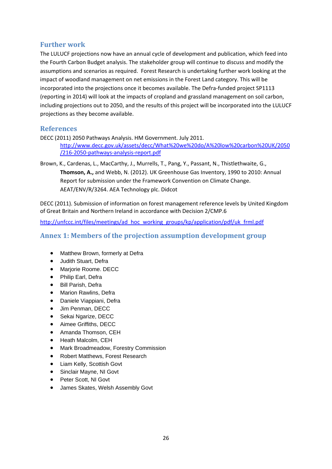#### **Further work**

The LULUCF projections now have an annual cycle of development and publication, which feed into the Fourth Carbon Budget analysis. The stakeholder group will continue to discuss and modify the assumptions and scenarios as required. Forest Research is undertaking further work looking at the impact of woodland management on net emissions in the Forest Land category. This will be incorporated into the projections once it becomes available. The Defra-funded project SP1113 (reporting in 2014) will look at the impacts of cropland and grassland management on soil carbon, including projections out to 2050, and the results of this project will be incorporated into the LULUCF projections as they become available.

#### **References**

DECC (2011) 2050 Pathways Analysis. HM Government. July 2011.

http://www.decc.gov.uk/assets/decc/What%20we%20do/A%20low%20carbon%20UK/2050 /216‐2050‐pathways‐analysis‐report.pdf

Brown, K., Cardenas, L., MacCarthy, J., Murrells, T., Pang, Y., Passant, N., Thistlethwaite, G., **Thomson, A.,** and Webb, N. (2012). UK Greenhouse Gas Inventory, 1990 to 2010: Annual Report for submission under the Framework Convention on Climate Change. AEAT/ENV/R/3264. AEA Technology plc. Didcot

DECC (2011). Submission of information on forest management reference levels by United Kingdom of Great Britain and Northern Ireland in accordance with Decision 2/CMP.6

http://unfccc.int/files/meetings/ad\_hoc\_working\_groups/kp/application/pdf/uk\_frml.pdf

#### **Annex 1: Members of the projection assumption development group**

- Matthew Brown, formerly at Defra
- Judith Stuart, Defra
- Marjorie Roome. DECC
- Philip Earl, Defra
- Bill Parish, Defra
- Marion Rawlins, Defra
- Daniele Viappiani, Defra
- Jim Penman, DECC
- Sekai Ngarize, DECC
- Aimee Griffiths, DECC
- Amanda Thomson, CEH
- Heath Malcolm, CEH
- Mark Broadmeadow, Forestry Commission
- Robert Matthews, Forest Research
- Liam Kelly, Scottish Govt
- Sinclair Mayne, NI Govt
- Peter Scott, NI Govt
- James Skates, Welsh Assembly Govt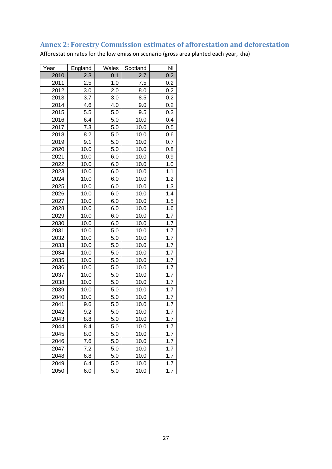## **Annex 2: Forestry Commission estimates of afforestation and deforestation**

Afforestation rates for the low emission scenario (gross area planted each year, kha)

| Year | England | Wales   | Scotland | N <sub>l</sub> |
|------|---------|---------|----------|----------------|
| 2010 | 2.3     | 0.1     | 2.7      | 0.2            |
| 2011 | 2.5     | 1.0     | 7.5      | 0.2            |
| 2012 | 3.0     | 2.0     | 8.0      | 0.2            |
| 2013 | 3.7     | 3.0     | 8.5      | 0.2            |
| 2014 | 4.6     | 4.0     | 9.0      | 0.2            |
| 2015 | 5.5     | 5.0     | 9.5      | 0.3            |
| 2016 | 6.4     | 5.0     | 10.0     | 0.4            |
| 2017 | 7.3     | 5.0     | 10.0     | 0.5            |
| 2018 | 8.2     | 5.0     | 10.0     | 0.6            |
| 2019 | 9.1     | 5.0     | 10.0     | 0.7            |
| 2020 | 10.0    | 5.0     | 10.0     | 0.8            |
| 2021 | 10.0    | 6.0     | 10.0     | 0.9            |
| 2022 | 10.0    | 6.0     | 10.0     | 1.0            |
| 2023 | 10.0    | 6.0     | 10.0     | 1.1            |
| 2024 | 10.0    | 6.0     | 10.0     | 1.2            |
| 2025 | 10.0    | 6.0     | 10.0     | 1.3            |
| 2026 | 10.0    | 6.0     | 10.0     | 1.4            |
| 2027 | 10.0    | 6.0     | 10.0     | 1.5            |
| 2028 | 10.0    | 6.0     | 10.0     | 1.6            |
| 2029 | 10.0    | 6.0     | 10.0     | 1.7            |
| 2030 | 10.0    | 6.0     | 10.0     | 1.7            |
| 2031 | 10.0    | 5.0     | 10.0     | 1.7            |
| 2032 | 10.0    | 5.0     | 10.0     | 1.7            |
| 2033 | 10.0    | 5.0     | 10.0     | 1.7            |
| 2034 | 10.0    | 5.0     | 10.0     | 1.7            |
| 2035 | 10.0    | 5.0     | 10.0     | 1.7            |
| 2036 | 10.0    | 5.0     | 10.0     | 1.7            |
| 2037 | 10.0    | $5.0\,$ | 10.0     | 1.7            |
| 2038 | 10.0    | 5.0     | 10.0     | 1.7            |
| 2039 | 10.0    | 5.0     | 10.0     | 1.7            |
| 2040 | 10.0    | 5.0     | 10.0     | 1.7            |
| 2041 | 9.6     | 5.0     | 10.0     | 1.7            |
| 2042 | 9.2     | 5.0     | 10.0     | 1.7            |
| 2043 | 8.8     | 5.0     | 10.0     | 1.7            |
| 2044 | 8.4     | 5.0     | 10.0     | 1.7            |
| 2045 | 8.0     | 5.0     | 10.0     | 1.7            |
| 2046 | 7.6     | 5.0     | 10.0     | 1.7            |
| 2047 | 7.2     | 5.0     | 10.0     | 1.7            |
| 2048 | 6.8     | 5.0     | 10.0     | 1.7            |
| 2049 | 6.4     | 5.0     | 10.0     | 1.7            |
| 2050 | 6.0     | 5.0     | 10.0     | 1.7            |